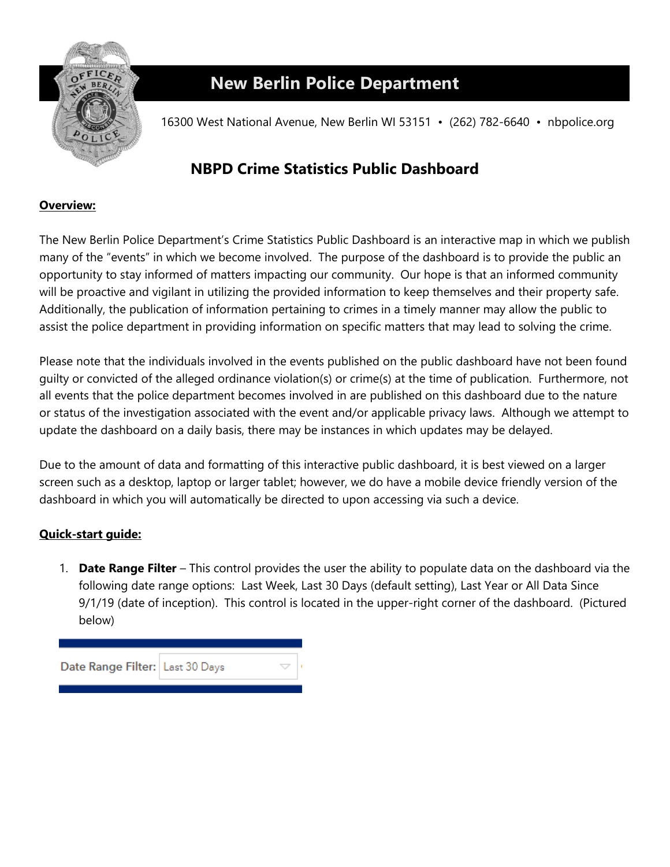

## **New Berlin Police Department**

16300 West National Avenue, New Berlin WI 53151 • (262) 782-6640 • nbpolice.org

## **NBPD Crime Statistics Public Dashboard**

## **Overview:**

The New Berlin Police Department's Crime Statistics Public Dashboard is an interactive map in which we publish many of the "events" in which we become involved. The purpose of the dashboard is to provide the public an opportunity to stay informed of matters impacting our community. Our hope is that an informed community will be proactive and vigilant in utilizing the provided information to keep themselves and their property safe. Additionally, the publication of information pertaining to crimes in a timely manner may allow the public to assist the police department in providing information on specific matters that may lead to solving the crime.

Please note that the individuals involved in the events published on the public dashboard have not been found guilty or convicted of the alleged ordinance violation(s) or crime(s) at the time of publication. Furthermore, not all events that the police department becomes involved in are published on this dashboard due to the nature or status of the investigation associated with the event and/or applicable privacy laws. Although we attempt to update the dashboard on a daily basis, there may be instances in which updates may be delayed.

Due to the amount of data and formatting of this interactive public dashboard, it is best viewed on a larger screen such as a desktop, laptop or larger tablet; however, we do have a mobile device friendly version of the dashboard in which you will automatically be directed to upon accessing via such a device.

## **Quick-start guide:**

1. **Date Range Filter** – This control provides the user the ability to populate data on the dashboard via the following date range options: Last Week, Last 30 Days (default setting), Last Year or All Data Since 9/1/19 (date of inception). This control is located in the upper-right corner of the dashboard. (Pictured below)

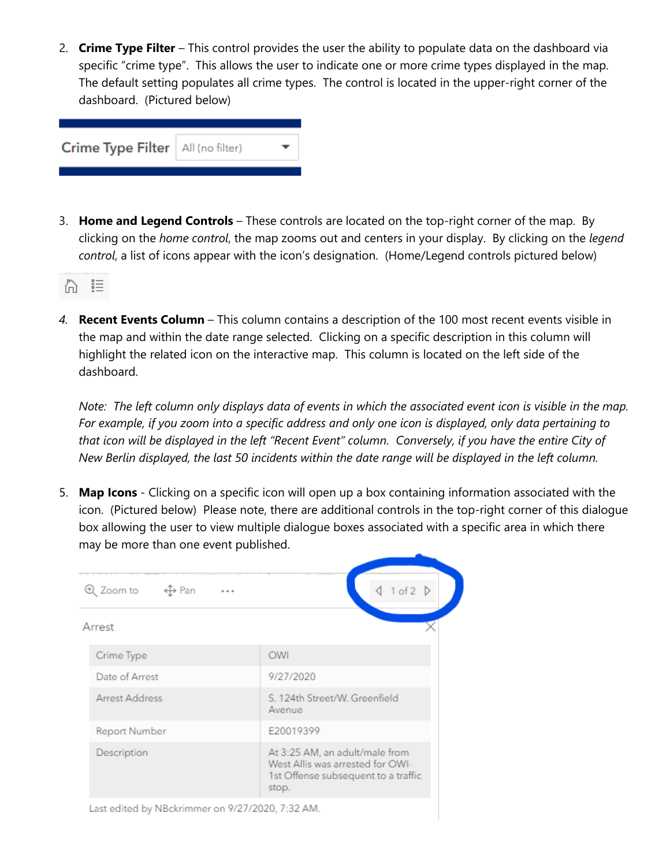2. **Crime Type Filter** – This control provides the user the ability to populate data on the dashboard via specific "crime type". This allows the user to indicate one or more crime types displayed in the map. The default setting populates all crime types. The control is located in the upper-right corner of the dashboard. (Pictured below)

|  | Crime Type Filter   All (no filter) |  |  |
|--|-------------------------------------|--|--|
|--|-------------------------------------|--|--|

3. **Home and Legend Controls** – These controls are located on the top-right corner of the map. By clicking on the *home control*, the map zooms out and centers in your display. By clicking on the *legend control*, a list of icons appear with the icon's designation. (Home/Legend controls pictured below)



*4.* **Recent Events Column** – This column contains a description of the 100 most recent events visible in the map and within the date range selected. Clicking on a specific description in this column will highlight the related icon on the interactive map. This column is located on the left side of the dashboard.

*Note: The left column only displays data of events in which the associated event icon is visible in the map. For example, if you zoom into a specific address and only one icon is displayed, only data pertaining to that icon will be displayed in the left "Recent Event" column. Conversely, if you have the entire City of New Berlin displayed, the last 50 incidents within the date range will be displayed in the left column.* 

5. **Map Icons** - Clicking on a specific icon will open up a box containing information associated with the icon. (Pictured below) Please note, there are additional controls in the top-right corner of this dialogue box allowing the user to view multiple dialogue boxes associated with a specific area in which there may be more than one event published.

|        | Q Zoom to<br>1 of 2 $\triangleright$<br>← <del>⊕</del> Pan<br> |                                                                                                                    |  |
|--------|----------------------------------------------------------------|--------------------------------------------------------------------------------------------------------------------|--|
| Arrest |                                                                |                                                                                                                    |  |
|        | Crime Type                                                     | OWI                                                                                                                |  |
|        | Date of Arrest                                                 | 9/27/2020                                                                                                          |  |
|        | Arrest Address                                                 | S. 124th Street/W. Greenfield<br>Avenue                                                                            |  |
|        | Report Number                                                  | E20019399                                                                                                          |  |
|        | Description                                                    | At 3:25 AM, an adult/male from<br>West Allis was arrested for OWI-<br>1st Offense subsequent to a traffic<br>stop. |  |

Last edited by NBckrimmer on 9/27/2020, 7:32 AM.